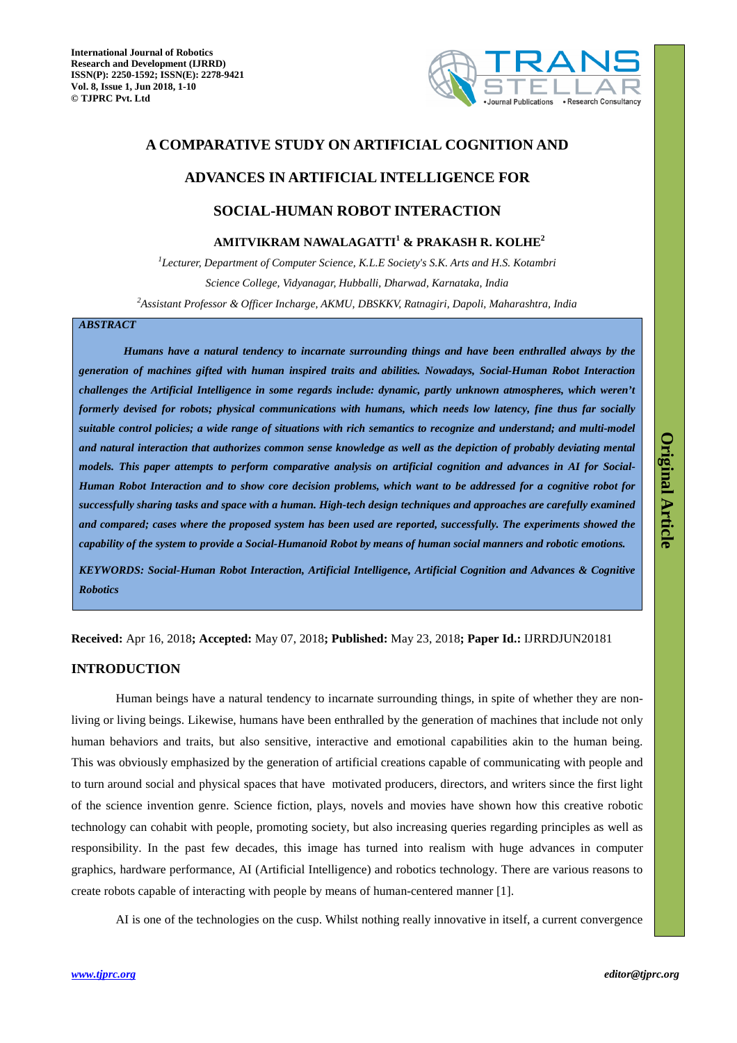

# **A COMPARATIVE STUDY ON ARTIFICIAL COGNITION AND**

# **ADVANCES IN ARTIFICIAL INTELLIGENCE FOR**

# **SOCIAL-HUMAN ROBOT INTERACTION**

# **AMITVIKRAM NAWALAGATTI<sup>1</sup> & PRAKASH R. KOLHE<sup>2</sup>**

<sup>1</sup>Lecturer, Department of Computer Science, K.L.E Society's S.K. Arts and H.S. Kotambri *Science College, Vidyanagar, Hubballi, Dharwad, Karnataka, India <sup>2</sup>Assistant Professor & Officer Incharge, AKMU, DBSKKV, Ratnagiri, Dapoli, Maharashtra, India* 

# *ABSTRACT*

*Humans have a natural tendency to incarnate surrounding things and have been enthralled always by the generation of machines gifted with human inspired traits and abilities. Nowadays, Social-Human Robot Interaction challenges the Artificial Intelligence in some regards include: dynamic, partly unknown atmospheres, which weren't formerly devised for robots; physical communications with humans, which needs low latency, fine thus far socially suitable control policies; a wide range of situations with rich semantics to recognize and understand; and multi-model and natural interaction that authorizes common sense knowledge as well as the depiction of probably deviating mental models. This paper attempts to perform comparative analysis on artificial cognition and advances in AI for Social-Human Robot Interaction and to show core decision problems, which want to be addressed for a cognitive robot for successfully sharing tasks and space with a human. High-tech design techniques and approaches are carefully examined and compared; cases where the proposed system has been used are reported, successfully. The experiments showed the capability of the system to provide a Social-Humanoid Robot by means of human social manners and robotic emotions.* 

*KEYWORDS: Social-Human Robot Interaction, Artificial Intelligence, Artificial Cognition and Advances & Cognitive Robotics*

**Received:** Apr 16, 2018**; Accepted:** May 07, 2018**; Published:** May 23, 2018**; Paper Id.:** IJRRDJUN20181

# **INTRODUCTION**

Human beings have a natural tendency to incarnate surrounding things, in spite of whether they are nonliving or living beings. Likewise, humans have been enthralled by the generation of machines that include not only human behaviors and traits, but also sensitive, interactive and emotional capabilities akin to the human being. This was obviously emphasized by the generation of artificial creations capable of communicating with people and to turn around social and physical spaces that have motivated producers, directors, and writers since the first light of the science invention genre. Science fiction, plays, novels and movies have shown how this creative robotic technology can cohabit with people, promoting society, but also increasing queries regarding principles as well as responsibility. In the past few decades, this image has turned into realism with huge advances in computer graphics, hardware performance, AI (Artificial Intelligence) and robotics technology. There are various reasons to create robots capable of interacting with people by means of human-centered manner [1].

AI is one of the technologies on the cusp. Whilst nothing really innovative in itself, a current convergence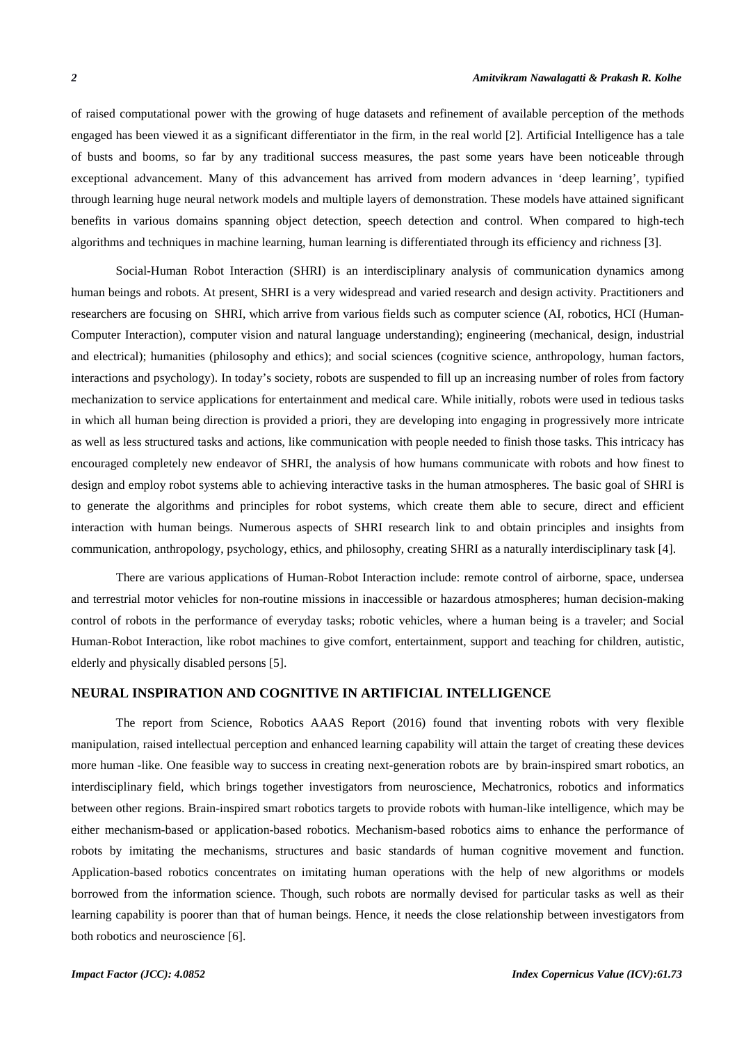of raised computational power with the growing of huge datasets and refinement of available perception of the methods engaged has been viewed it as a significant differentiator in the firm, in the real world [2]. Artificial Intelligence has a tale of busts and booms, so far by any traditional success measures, the past some years have been noticeable through exceptional advancement. Many of this advancement has arrived from modern advances in 'deep learning', typified through learning huge neural network models and multiple layers of demonstration. These models have attained significant benefits in various domains spanning object detection, speech detection and control. When compared to high-tech algorithms and techniques in machine learning, human learning is differentiated through its efficiency and richness [3].

Social-Human Robot Interaction (SHRI) is an interdisciplinary analysis of communication dynamics among human beings and robots. At present, SHRI is a very widespread and varied research and design activity. Practitioners and researchers are focusing on SHRI, which arrive from various fields such as computer science (AI, robotics, HCI (Human-Computer Interaction), computer vision and natural language understanding); engineering (mechanical, design, industrial and electrical); humanities (philosophy and ethics); and social sciences (cognitive science, anthropology, human factors, interactions and psychology). In today's society, robots are suspended to fill up an increasing number of roles from factory mechanization to service applications for entertainment and medical care. While initially, robots were used in tedious tasks in which all human being direction is provided a priori, they are developing into engaging in progressively more intricate as well as less structured tasks and actions, like communication with people needed to finish those tasks. This intricacy has encouraged completely new endeavor of SHRI, the analysis of how humans communicate with robots and how finest to design and employ robot systems able to achieving interactive tasks in the human atmospheres. The basic goal of SHRI is to generate the algorithms and principles for robot systems, which create them able to secure, direct and efficient interaction with human beings. Numerous aspects of SHRI research link to and obtain principles and insights from communication, anthropology, psychology, ethics, and philosophy, creating SHRI as a naturally interdisciplinary task [4].

There are various applications of Human-Robot Interaction include: remote control of airborne, space, undersea and terrestrial motor vehicles for non-routine missions in inaccessible or hazardous atmospheres; human decision-making control of robots in the performance of everyday tasks; robotic vehicles, where a human being is a traveler; and Social Human-Robot Interaction, like robot machines to give comfort, entertainment, support and teaching for children, autistic, elderly and physically disabled persons [5].

# **NEURAL INSPIRATION AND COGNITIVE IN ARTIFICIAL INTELLIGENCE**

The report from Science, Robotics AAAS Report (2016) found that inventing robots with very flexible manipulation, raised intellectual perception and enhanced learning capability will attain the target of creating these devices more human -like. One feasible way to success in creating next-generation robots are by brain-inspired smart robotics, an interdisciplinary field, which brings together investigators from neuroscience, Mechatronics, robotics and informatics between other regions. Brain-inspired smart robotics targets to provide robots with human-like intelligence, which may be either mechanism-based or application-based robotics. Mechanism-based robotics aims to enhance the performance of robots by imitating the mechanisms, structures and basic standards of human cognitive movement and function. Application-based robotics concentrates on imitating human operations with the help of new algorithms or models borrowed from the information science. Though, such robots are normally devised for particular tasks as well as their learning capability is poorer than that of human beings. Hence, it needs the close relationship between investigators from both robotics and neuroscience [6].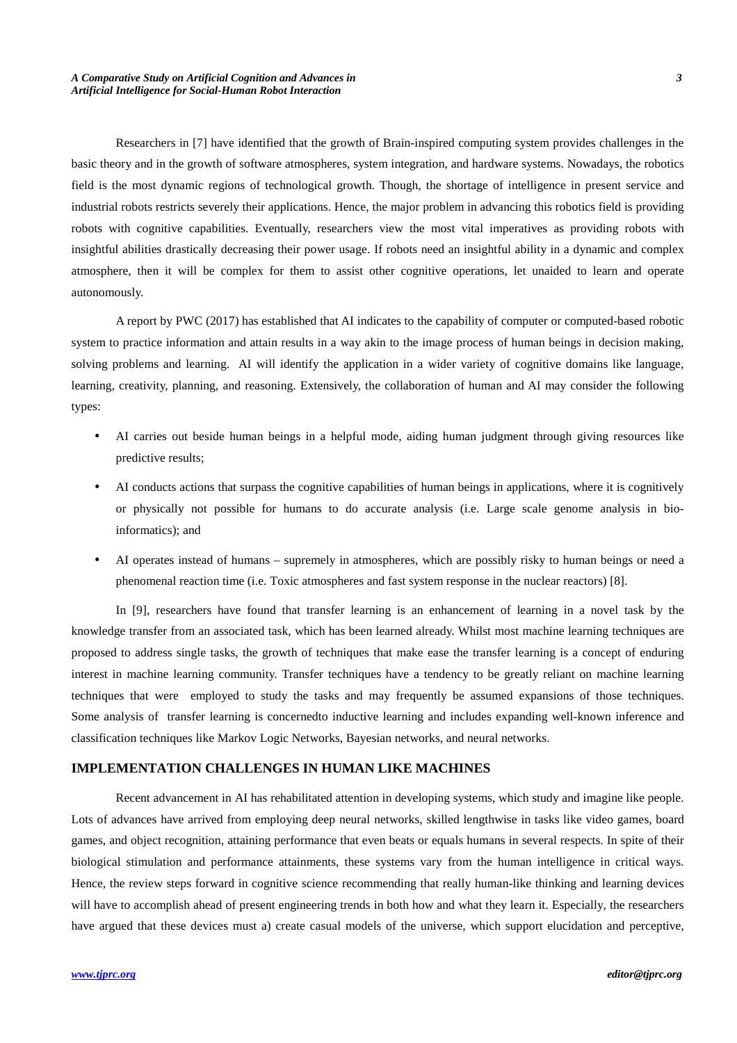Researchers in [7] have identified that the growth of Brain-inspired computing system provides challenges in the basic theory and in the growth of software atmospheres, system integration, and hardware systems. Nowadays, the robotics field is the most dynamic regions of technological growth. Though, the shortage of intelligence in present service and industrial robots restricts severely their applications. Hence, the major problem in advancing this robotics field is providing robots with cognitive capabilities. Eventually, researchers view the most vital imperatives as providing robots with insightful abilities drastically decreasing their power usage. If robots need an insightful ability in a dynamic and complex atmosphere, then it will be complex for them to assist other cognitive operations, let unaided to learn and operate autonomously.

A report by PWC (2017) has established that AI indicates to the capability of computer or computed-based robotic system to practice information and attain results in a way akin to the image process of human beings in decision making, solving problems and learning. AI will identify the application in a wider variety of cognitive domains like language, learning, creativity, planning, and reasoning. Extensively, the collaboration of human and AI may consider the following types:

- AI carries out beside human beings in a helpful mode, aiding human judgment through giving resources like predictive results;
- AI conducts actions that surpass the cognitive capabilities of human beings in applications, where it is cognitively or physically not possible for humans to do accurate analysis (i.e. Large scale genome analysis in bioinformatics); and
- AI operates instead of humans supremely in atmospheres, which are possibly risky to human beings or need a phenomenal reaction time (i.e. Toxic atmospheres and fast system response in the nuclear reactors) [8].

In [9], researchers have found that transfer learning is an enhancement of learning in a novel task by the knowledge transfer from an associated task, which has been learned already. Whilst most machine learning techniques are proposed to address single tasks, the growth of techniques that make ease the transfer learning is a concept of enduring interest in machine learning community. Transfer techniques have a tendency to be greatly reliant on machine learning techniques that were employed to study the tasks and may frequently be assumed expansions of those techniques. Some analysis of transfer learning is concernedto inductive learning and includes expanding well-known inference and classification techniques like Markov Logic Networks, Bayesian networks, and neural networks.

# **IMPLEMENTATION CHALLENGES IN HUMAN LIKE MACHINES**

Recent advancement in AI has rehabilitated attention in developing systems, which study and imagine like people. Lots of advances have arrived from employing deep neural networks, skilled lengthwise in tasks like video games, board games, and object recognition, attaining performance that even beats or equals humans in several respects. In spite of their biological stimulation and performance attainments, these systems vary from the human intelligence in critical ways. Hence, the review steps forward in cognitive science recommending that really human-like thinking and learning devices will have to accomplish ahead of present engineering trends in both how and what they learn it. Especially, the researchers have argued that these devices must a) create casual models of the universe, which support elucidation and perceptive,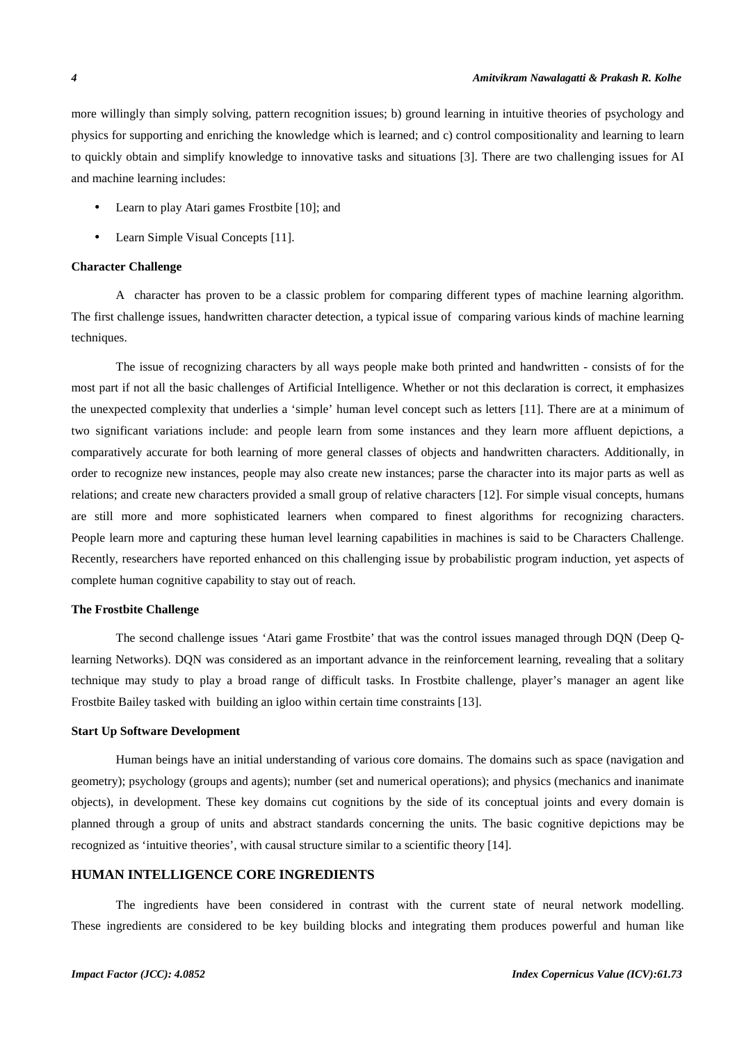more willingly than simply solving, pattern recognition issues; b) ground learning in intuitive theories of psychology and physics for supporting and enriching the knowledge which is learned; and c) control compositionality and learning to learn to quickly obtain and simplify knowledge to innovative tasks and situations [3]. There are two challenging issues for AI and machine learning includes:

- Learn to play Atari games Frostbite [10]; and
- Learn Simple Visual Concepts [11].

#### **Character Challenge**

A character has proven to be a classic problem for comparing different types of machine learning algorithm. The first challenge issues, handwritten character detection, a typical issue of comparing various kinds of machine learning techniques.

The issue of recognizing characters by all ways people make both printed and handwritten - consists of for the most part if not all the basic challenges of Artificial Intelligence. Whether or not this declaration is correct, it emphasizes the unexpected complexity that underlies a 'simple' human level concept such as letters [11]. There are at a minimum of two significant variations include: and people learn from some instances and they learn more affluent depictions, a comparatively accurate for both learning of more general classes of objects and handwritten characters. Additionally, in order to recognize new instances, people may also create new instances; parse the character into its major parts as well as relations; and create new characters provided a small group of relative characters [12]. For simple visual concepts, humans are still more and more sophisticated learners when compared to finest algorithms for recognizing characters. People learn more and capturing these human level learning capabilities in machines is said to be Characters Challenge. Recently, researchers have reported enhanced on this challenging issue by probabilistic program induction, yet aspects of complete human cognitive capability to stay out of reach.

# **The Frostbite Challenge**

The second challenge issues 'Atari game Frostbite' that was the control issues managed through DQN (Deep Qlearning Networks). DQN was considered as an important advance in the reinforcement learning, revealing that a solitary technique may study to play a broad range of difficult tasks. In Frostbite challenge, player's manager an agent like Frostbite Bailey tasked with building an igloo within certain time constraints [13].

#### **Start Up Software Development**

Human beings have an initial understanding of various core domains. The domains such as space (navigation and geometry); psychology (groups and agents); number (set and numerical operations); and physics (mechanics and inanimate objects), in development. These key domains cut cognitions by the side of its conceptual joints and every domain is planned through a group of units and abstract standards concerning the units. The basic cognitive depictions may be recognized as 'intuitive theories', with causal structure similar to a scientific theory [14].

# **HUMAN INTELLIGENCE CORE INGREDIENTS**

The ingredients have been considered in contrast with the current state of neural network modelling. These ingredients are considered to be key building blocks and integrating them produces powerful and human like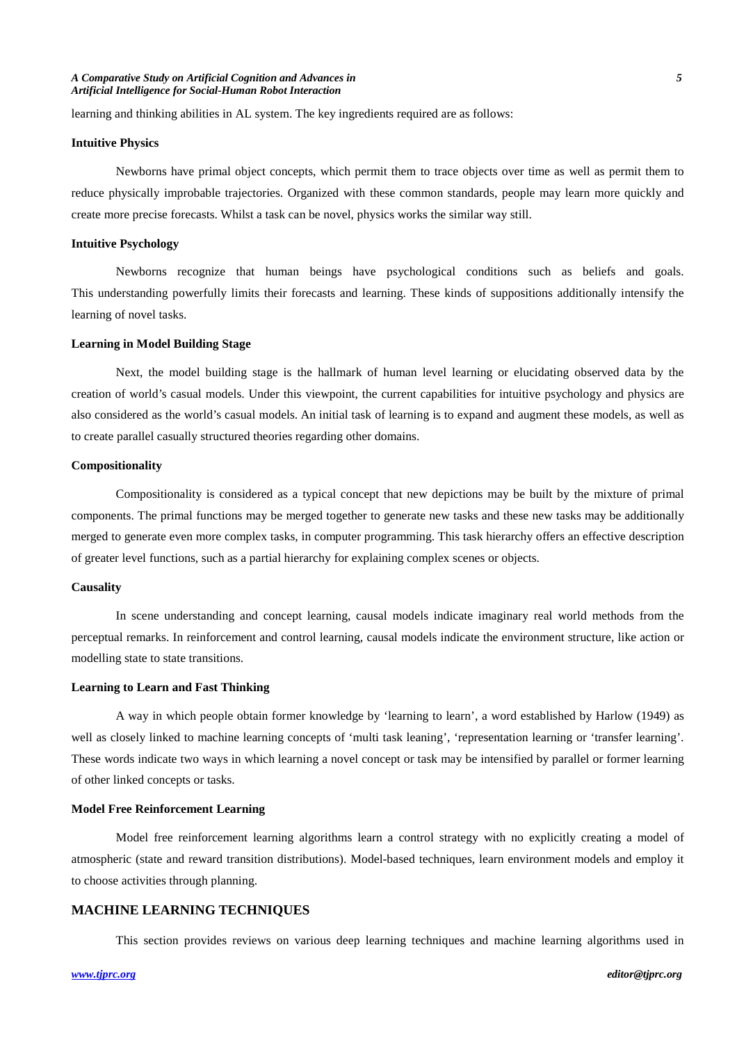learning and thinking abilities in AL system. The key ingredients required are as follows:

### **Intuitive Physics**

Newborns have primal object concepts, which permit them to trace objects over time as well as permit them to reduce physically improbable trajectories. Organized with these common standards, people may learn more quickly and create more precise forecasts. Whilst a task can be novel, physics works the similar way still.

### **Intuitive Psychology**

Newborns recognize that human beings have psychological conditions such as beliefs and goals. This understanding powerfully limits their forecasts and learning. These kinds of suppositions additionally intensify the learning of novel tasks.

## **Learning in Model Building Stage**

Next, the model building stage is the hallmark of human level learning or elucidating observed data by the creation of world's casual models. Under this viewpoint, the current capabilities for intuitive psychology and physics are also considered as the world's casual models. An initial task of learning is to expand and augment these models, as well as to create parallel casually structured theories regarding other domains.

# **Compositionality**

Compositionality is considered as a typical concept that new depictions may be built by the mixture of primal components. The primal functions may be merged together to generate new tasks and these new tasks may be additionally merged to generate even more complex tasks, in computer programming. This task hierarchy offers an effective description of greater level functions, such as a partial hierarchy for explaining complex scenes or objects.

#### **Causality**

In scene understanding and concept learning, causal models indicate imaginary real world methods from the perceptual remarks. In reinforcement and control learning, causal models indicate the environment structure, like action or modelling state to state transitions.

#### **Learning to Learn and Fast Thinking**

A way in which people obtain former knowledge by 'learning to learn', a word established by Harlow (1949) as well as closely linked to machine learning concepts of 'multi task leaning', 'representation learning or 'transfer learning'. These words indicate two ways in which learning a novel concept or task may be intensified by parallel or former learning of other linked concepts or tasks.

#### **Model Free Reinforcement Learning**

Model free reinforcement learning algorithms learn a control strategy with no explicitly creating a model of atmospheric (state and reward transition distributions). Model-based techniques, learn environment models and employ it to choose activities through planning.

### **MACHINE LEARNING TECHNIQUES**

This section provides reviews on various deep learning techniques and machine learning algorithms used in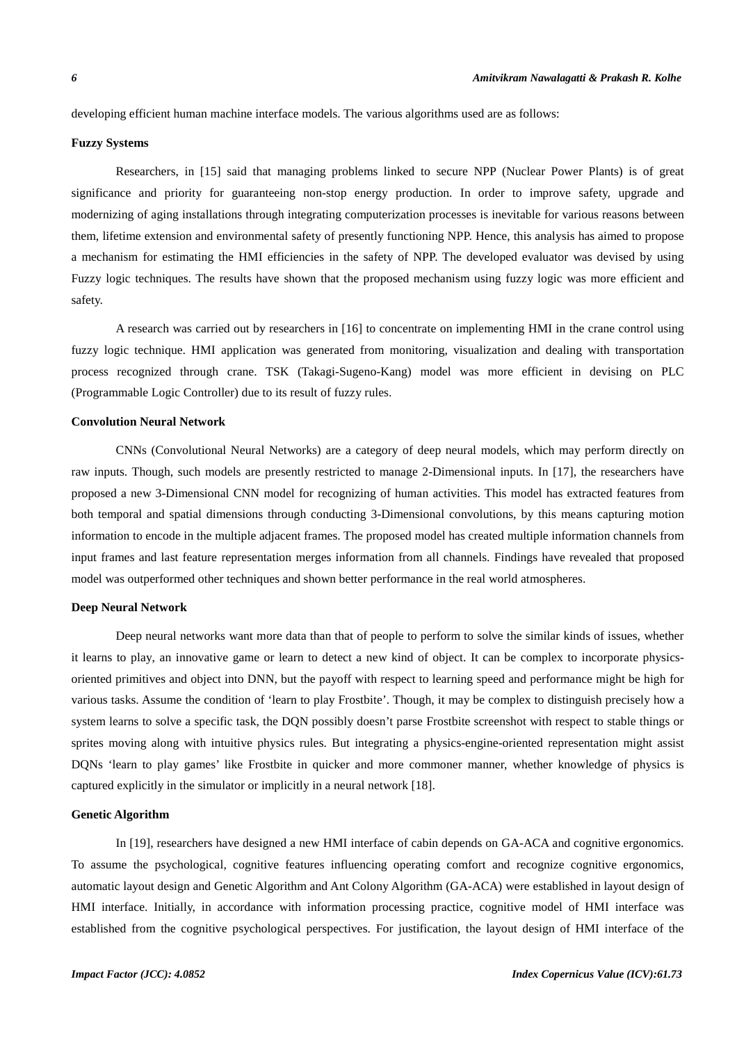developing efficient human machine interface models. The various algorithms used are as follows:

# **Fuzzy Systems**

Researchers, in [15] said that managing problems linked to secure NPP (Nuclear Power Plants) is of great significance and priority for guaranteeing non-stop energy production. In order to improve safety, upgrade and modernizing of aging installations through integrating computerization processes is inevitable for various reasons between them, lifetime extension and environmental safety of presently functioning NPP. Hence, this analysis has aimed to propose a mechanism for estimating the HMI efficiencies in the safety of NPP. The developed evaluator was devised by using Fuzzy logic techniques. The results have shown that the proposed mechanism using fuzzy logic was more efficient and safety.

A research was carried out by researchers in [16] to concentrate on implementing HMI in the crane control using fuzzy logic technique. HMI application was generated from monitoring, visualization and dealing with transportation process recognized through crane. TSK (Takagi-Sugeno-Kang) model was more efficient in devising on PLC (Programmable Logic Controller) due to its result of fuzzy rules.

## **Convolution Neural Network**

CNNs (Convolutional Neural Networks) are a category of deep neural models, which may perform directly on raw inputs. Though, such models are presently restricted to manage 2-Dimensional inputs. In [17], the researchers have proposed a new 3-Dimensional CNN model for recognizing of human activities. This model has extracted features from both temporal and spatial dimensions through conducting 3-Dimensional convolutions, by this means capturing motion information to encode in the multiple adjacent frames. The proposed model has created multiple information channels from input frames and last feature representation merges information from all channels. Findings have revealed that proposed model was outperformed other techniques and shown better performance in the real world atmospheres.

#### **Deep Neural Network**

Deep neural networks want more data than that of people to perform to solve the similar kinds of issues, whether it learns to play, an innovative game or learn to detect a new kind of object. It can be complex to incorporate physicsoriented primitives and object into DNN, but the payoff with respect to learning speed and performance might be high for various tasks. Assume the condition of 'learn to play Frostbite'. Though, it may be complex to distinguish precisely how a system learns to solve a specific task, the DQN possibly doesn't parse Frostbite screenshot with respect to stable things or sprites moving along with intuitive physics rules. But integrating a physics-engine-oriented representation might assist DQNs 'learn to play games' like Frostbite in quicker and more commoner manner, whether knowledge of physics is captured explicitly in the simulator or implicitly in a neural network [18].

#### **Genetic Algorithm**

In [19], researchers have designed a new HMI interface of cabin depends on GA-ACA and cognitive ergonomics. To assume the psychological, cognitive features influencing operating comfort and recognize cognitive ergonomics, automatic layout design and Genetic Algorithm and Ant Colony Algorithm (GA-ACA) were established in layout design of HMI interface. Initially, in accordance with information processing practice, cognitive model of HMI interface was established from the cognitive psychological perspectives. For justification, the layout design of HMI interface of the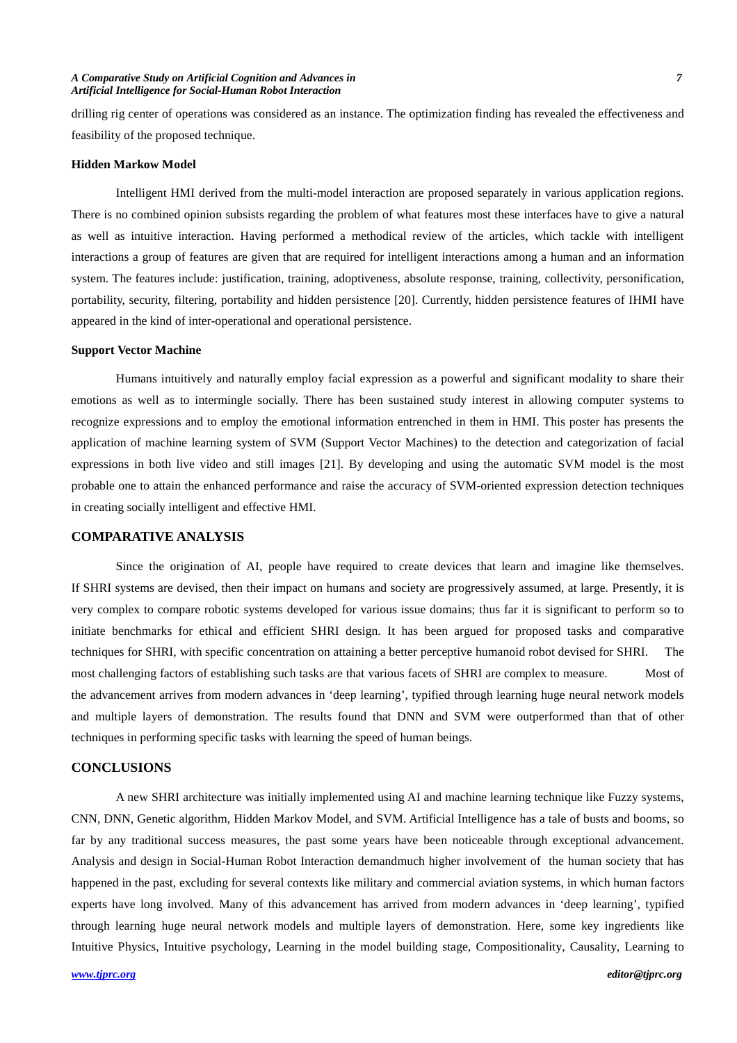#### *A Comparative Study on Artificial Cognition and Advances in 7 Artificial Intelligence for Social-Human Robot Interaction*

drilling rig center of operations was considered as an instance. The optimization finding has revealed the effectiveness and feasibility of the proposed technique.

## **Hidden Markow Model**

Intelligent HMI derived from the multi-model interaction are proposed separately in various application regions. There is no combined opinion subsists regarding the problem of what features most these interfaces have to give a natural as well as intuitive interaction. Having performed a methodical review of the articles, which tackle with intelligent interactions a group of features are given that are required for intelligent interactions among a human and an information system. The features include: justification, training, adoptiveness, absolute response, training, collectivity, personification, portability, security, filtering, portability and hidden persistence [20]. Currently, hidden persistence features of IHMI have appeared in the kind of inter-operational and operational persistence.

#### **Support Vector Machine**

Humans intuitively and naturally employ facial expression as a powerful and significant modality to share their emotions as well as to intermingle socially. There has been sustained study interest in allowing computer systems to recognize expressions and to employ the emotional information entrenched in them in HMI. This poster has presents the application of machine learning system of SVM (Support Vector Machines) to the detection and categorization of facial expressions in both live video and still images [21]. By developing and using the automatic SVM model is the most probable one to attain the enhanced performance and raise the accuracy of SVM-oriented expression detection techniques in creating socially intelligent and effective HMI.

# **COMPARATIVE ANALYSIS**

Since the origination of AI, people have required to create devices that learn and imagine like themselves. If SHRI systems are devised, then their impact on humans and society are progressively assumed, at large. Presently, it is very complex to compare robotic systems developed for various issue domains; thus far it is significant to perform so to initiate benchmarks for ethical and efficient SHRI design. It has been argued for proposed tasks and comparative techniques for SHRI, with specific concentration on attaining a better perceptive humanoid robot devised for SHRI. The most challenging factors of establishing such tasks are that various facets of SHRI are complex to measure. Most of the advancement arrives from modern advances in 'deep learning', typified through learning huge neural network models and multiple layers of demonstration. The results found that DNN and SVM were outperformed than that of other techniques in performing specific tasks with learning the speed of human beings.

# **CONCLUSIONS**

A new SHRI architecture was initially implemented using AI and machine learning technique like Fuzzy systems, CNN, DNN, Genetic algorithm, Hidden Markov Model, and SVM. Artificial Intelligence has a tale of busts and booms, so far by any traditional success measures, the past some years have been noticeable through exceptional advancement. Analysis and design in Social-Human Robot Interaction demandmuch higher involvement of the human society that has happened in the past, excluding for several contexts like military and commercial aviation systems, in which human factors experts have long involved. Many of this advancement has arrived from modern advances in 'deep learning', typified through learning huge neural network models and multiple layers of demonstration. Here, some key ingredients like Intuitive Physics, Intuitive psychology, Learning in the model building stage, Compositionality, Causality, Learning to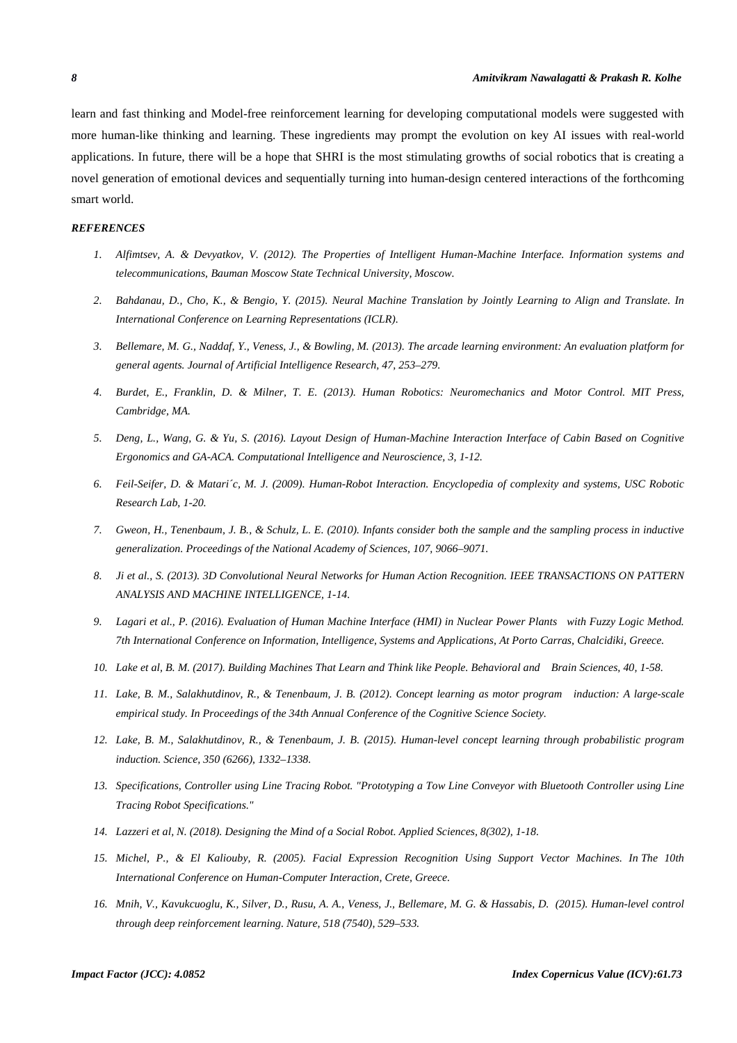learn and fast thinking and Model-free reinforcement learning for developing computational models were suggested with more human-like thinking and learning. These ingredients may prompt the evolution on key AI issues with real-world applications. In future, there will be a hope that SHRI is the most stimulating growths of social robotics that is creating a novel generation of emotional devices and sequentially turning into human-design centered interactions of the forthcoming smart world.

#### *REFERENCES*

- *1. Alfimtsev, A. & Devyatkov, V. (2012). The Properties of Intelligent Human-Machine Interface. Information systems and telecommunications, Bauman Moscow State Technical University, Moscow.*
- *2. Bahdanau, D., Cho, K., & Bengio, Y. (2015). Neural Machine Translation by Jointly Learning to Align and Translate. In International Conference on Learning Representations (ICLR).*
- *3. Bellemare, M. G., Naddaf, Y., Veness, J., & Bowling, M. (2013). The arcade learning environment: An evaluation platform for general agents. Journal of Artificial Intelligence Research, 47, 253–279.*
- *4. Burdet, E., Franklin, D. & Milner, T. E. (2013). Human Robotics: Neuromechanics and Motor Control. MIT Press, Cambridge, MA.*
- *5. Deng, L., Wang, G. & Yu, S. (2016). Layout Design of Human-Machine Interaction Interface of Cabin Based on Cognitive Ergonomics and GA-ACA. Computational Intelligence and Neuroscience, 3, 1-12.*
- *6. Feil-Seifer, D. & Matari´c, M. J. (2009). Human-Robot Interaction. Encyclopedia of complexity and systems, USC Robotic Research Lab, 1-20.*
- *7. Gweon, H., Tenenbaum, J. B., & Schulz, L. E. (2010). Infants consider both the sample and the sampling process in inductive generalization. Proceedings of the National Academy of Sciences, 107, 9066–9071.*
- *8. Ji et al., S. (2013). 3D Convolutional Neural Networks for Human Action Recognition. IEEE TRANSACTIONS ON PATTERN ANALYSIS AND MACHINE INTELLIGENCE, 1-14.*
- *9. Lagari et al., P. (2016). Evaluation of Human Machine Interface (HMI) in Nuclear Power Plants with Fuzzy Logic Method. 7th International Conference on Information, Intelligence, Systems and Applications, At Porto Carras, Chalcidiki, Greece.*
- *10. Lake et al, B. M. (2017). Building Machines That Learn and Think like People. Behavioral and Brain Sciences, 40, 1-58.*
- *11. Lake, B. M., Salakhutdinov, R., & Tenenbaum, J. B. (2012). Concept learning as motor program induction: A large-scale empirical study. In Proceedings of the 34th Annual Conference of the Cognitive Science Society.*
- *12. Lake, B. M., Salakhutdinov, R., & Tenenbaum, J. B. (2015). Human-level concept learning through probabilistic program induction. Science, 350 (6266), 1332–1338.*
- *13. Specifications, Controller using Line Tracing Robot. "Prototyping a Tow Line Conveyor with Bluetooth Controller using Line Tracing Robot Specifications."*
- *14. Lazzeri et al, N. (2018). Designing the Mind of a Social Robot. Applied Sciences, 8(302), 1-18.*
- *15. Michel, P., & El Kaliouby, R. (2005). Facial Expression Recognition Using Support Vector Machines. In The 10th International Conference on Human-Computer Interaction, Crete, Greece.*
- *16. Mnih, V., Kavukcuoglu, K., Silver, D., Rusu, A. A., Veness, J., Bellemare, M. G. & Hassabis, D. (2015). Human-level control through deep reinforcement learning. Nature, 518 (7540), 529–533.*